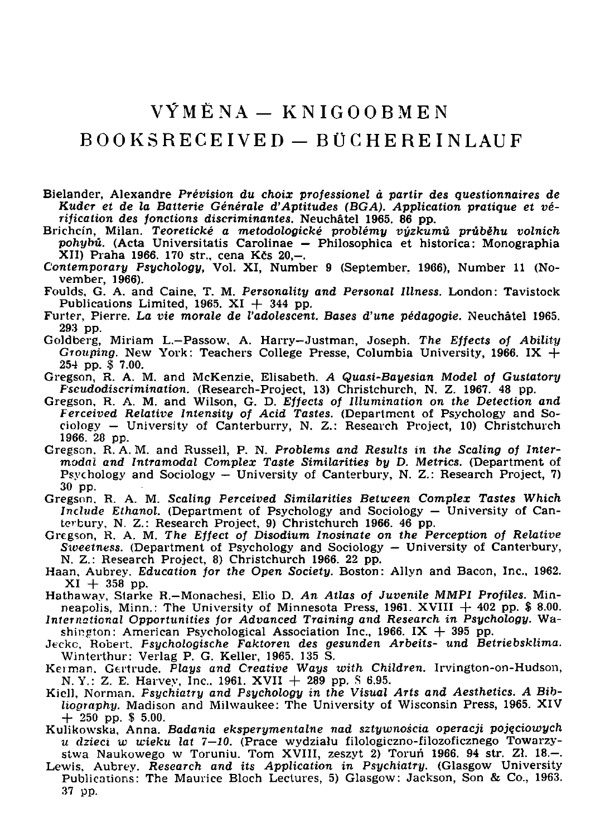## $V\hat{Y}M\hat{E}NA = KNIGOORMEN$

## $B00KSRECEIVED = BUCHEREINLAUF$

- Bielander, Alexandre Prévision du choix professionel à partir des questionnaires de Kuder et de la Batterie Générale d'Aptitudes (BGA). Application pratique et vérification des fonctions discriminantes. Neuchâtel 1965. 86 pp.
- Brichcín, Milan. Teoretické a metodologické problémy výzkumů průběhu volních pohybů. (Acta Universitatis Carolinae – Philosophica et historica: Monographia XII) Praha 1966. 170 str., cena Kčs 20,-.
- Contemporary Psychology, Vol. XI, Number 9 (September, 1966), Number 11 (November, 1966).
- Foulds, G. A. and Caine, T. M. Personality and Personal Illness. London: Tavistock Publications Limited, 1965.  $XI + 344$  pp.
- Furter, Pierre. La vie morale de l'adolescent. Bases d'une pédagogie. Neuchâtel 1965. 293 pp.
- Goldberg, Miriam L.-Passow, A. Harry-Justman, Joseph. The Effects of Ability Grouping. New York: Teachers College Presse, Columbia University, 1966. IX  $+$  $254$  pp.  $$7.00$ .
- Gregson, R. A. M. and McKenzie, Elisabeth. A Quasi-Bayesian Model of Gustatory Fseudodiscrimination. (Research-Project, 13) Christchurch, N. Z. 1967. 48 pp.
- Gregson, R. A. M. and Wilson, G. D. Effects of Illumination on the Detection and<br>Ferceived Relative Intensity of Acid Tastes. (Department of Psychology and Sociology  $-$  University of Canterburry, N. Z.: Research Project, 10) Christchurch 1966. 28 pp.
- Gregson, R.A.M. and Russell, P. N. Problems and Results in the Scaling of Intermodal and Intramodal Complex Taste Similarities by D. Metrics. (Department of Psychology and Sociology - University of Canterbury, N. Z.: Research Project. 7) 30 pp.
- Gregson, R. A. M. Scaling Perceived Similarities Between Complex Tastes Which Include Ethanol. (Department of Psychology and Sociology – University of Canterbury, N. Z.: Research Project, 9) Christchurch 1966, 46 pp.
- Gregson, R. A. M. The Effect of Disodium Inosinate on the Perception of Relative Sweetness. (Department of Psychology and Sociology - University of Canterbury, N. Z.: Research Project, 8) Christchurch 1966. 22 pp.
- Haan, Aubrey. Education for the Open Society. Boston: Allyn and Bacon, Inc., 1962.  $XI + 358$  pp.
- Hathaway, Starke R.-Monachesi, Elio D. An Atlas of Juvenile MMPI Profiles. Minneapolis, Minn.: The University of Minnesota Press,  $1961$ . XVIII  $+ 402$  pp. \$ 8.00.
- International Opportunities for Advanced Training and Research in Psychology. Washington: American Psychological Association Inc., 1966. IX  $+$  395 pp.
- Jecke, Robert. Fsychologische Faktoren des gesunden Arbeits- und Betriebsklima. Winterthur: Verlag P. G. Keller, 1965. 135 S.
- Kerman, Gertrude, Plays and Creative Ways with Children. Irvington-on-Hudson, N.Y.: Z. E. Harvey, Inc., 1961. XVII  $+$  289 pp. 8 6.95.
- Kiell, Norman. Fsychiatry and Psychology in the Visual Arts and Aesthetics. A Bibliography. Madison and Milwaukee: The University of Wisconsin Press, 1965. XIV  $+250$  pp. \$5.00.
- Kulikowska. Anna. Badania eksperymentalne nad sztywnościa operacji pojęciowych u dzieci w wieku lat 7–10. (Prace wydziału filologiczno-filozoficznego Towarzy-<br>stwa Naukowego w Toruniu. Tom XVIII, zeszyt 2) Toruń 1966. 94 str. Zł. 18.–.
- Lewis, Aubrey. Research and its Application in Psychiatry. (Glasgow University Publications: The Maurice Bloch Lectures, 5) Glasgow: Jackson, Son & Co., 1963. 37 pp.